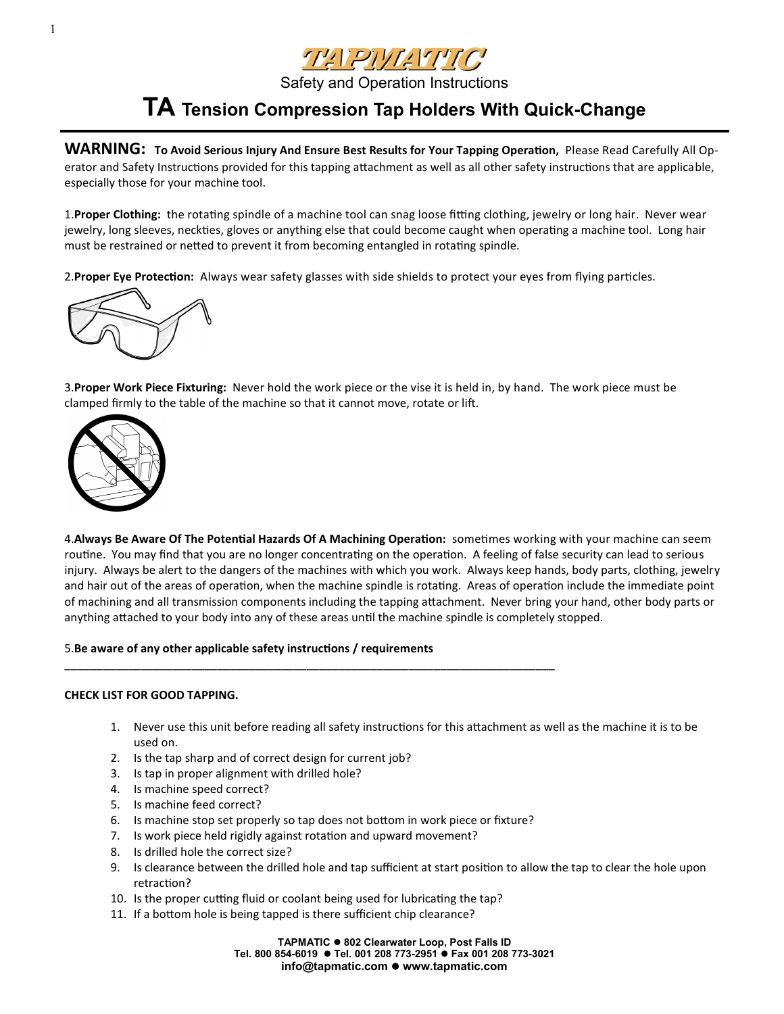

## **TA Tension Compression Tap Holders With Quick-Change**

**WARNING: To Avoid Serious Injury And Ensure Best Results for Your Tapping Operation,** Please Read Carefully All Operator and Safety Instructions provided for this tapping attachment as well as all other safety instructions that are applicable, especially those for your machine tool.

1.**Proper Clothing:** the rotating spindle of a machine tool can snag loose fitting clothing, jewelry or long hair. Never wear jewelry, long sleeves, neckties, gloves or anything else that could become caught when operating a machine tool. Long hair must be restrained or netted to prevent it from becoming entangled in rotating spindle.

2.**Proper Eye Protection:** Always wear safety glasses with side shields to protect your eyes from flying particles.



3.**Proper Work Piece Fixturing:** Never hold the work piece or the vise it is held in, by hand. The work piece must be clamped firmly to the table of the machine so that it cannot move, rotate or lift.



4.**Always Be Aware Of The Potential Hazards Of A Machining Operation:** sometimes working with your machine can seem routine. You may find that you are no longer concentrating on the operation. A feeling of false security can lead to serious injury. Always be alert to the dangers of the machines with which you work. Always keep hands, body parts, clothing, jewelry and hair out of the areas of operation, when the machine spindle is rotating. Areas of operation include the immediate point of machining and all transmission components including the tapping attachment. Never bring your hand, other body parts or anything attached to your body into any of these areas until the machine spindle is completely stopped.

5.**Be aware of any other applicable safety instructions / requirements**

### **CHECK LIST FOR GOOD TAPPING.**

- 1. Never use this unit before reading all safety instructions for this attachment as well as the machine it is to be used on.
- 2. Is the tap sharp and of correct design for current job?
- 3. Is tap in proper alignment with drilled hole?
- 4. Is machine speed correct?
- 5. Is machine feed correct?
- 6. Is machine stop set properly so tap does not bottom in work piece or fixture?

\_\_\_\_\_\_\_\_\_\_\_\_\_\_\_\_\_\_\_\_\_\_\_\_\_\_\_\_\_\_\_\_\_\_\_\_\_\_\_\_\_\_\_\_\_\_\_\_\_\_\_\_\_\_\_\_\_\_\_\_\_\_\_\_\_\_\_\_\_\_\_\_\_\_\_\_\_

- 7. Is work piece held rigidly against rotation and upward movement?
- 8. Is drilled hole the correct size?
- 9. Is clearance between the drilled hole and tap sufficient at start position to allow the tap to clear the hole upon retraction?
- 10. Is the proper cutting fluid or coolant being used for lubricating the tap?
- 11. If a bottom hole is being tapped is there sufficient chip clearance?

**TAPMATIC 802 Clearwater Loop, Post Falls ID Tel. 800 854-6019 Tel. 001 208 773-2951 Fax 001 208 773-3021 info@tapmatic.com ● www.tapmatic.com**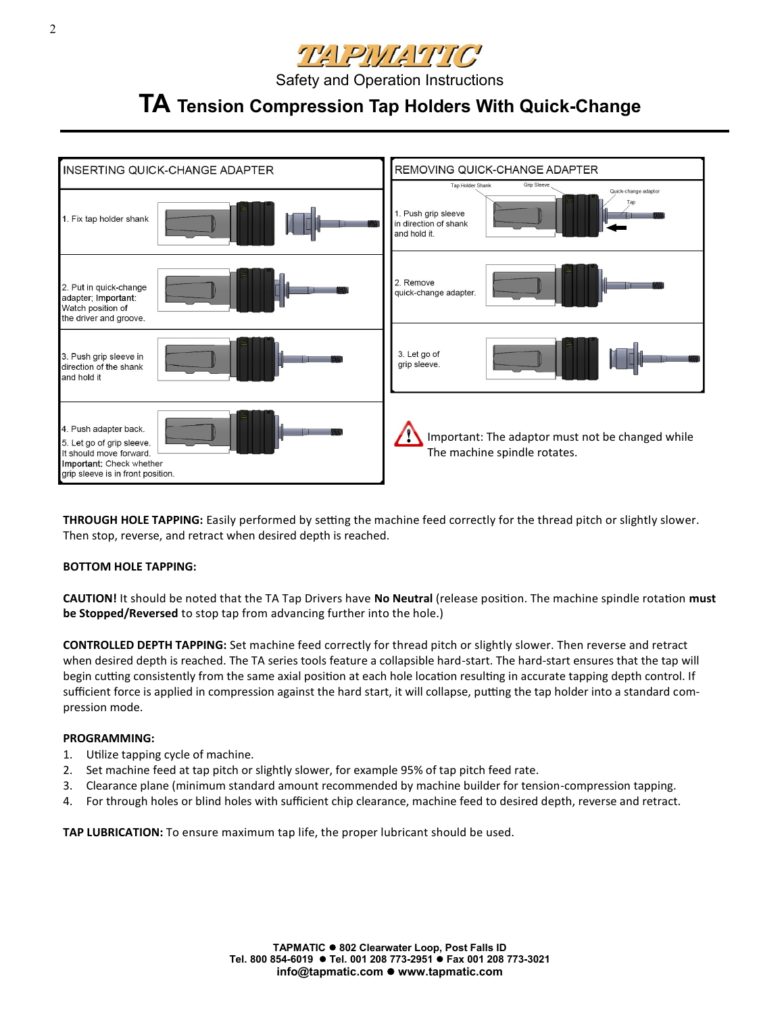

# **TA Tension Compression Tap Holders With Quick-Change**



**THROUGH HOLE TAPPING:** Easily performed by setting the machine feed correctly for the thread pitch or slightly slower. Then stop, reverse, and retract when desired depth is reached.

### **BOTTOM HOLE TAPPING:**

**CAUTION!** It should be noted that the TA Tap Drivers have **No Neutral** (release position. The machine spindle rotation **must be Stopped/Reversed** to stop tap from advancing further into the hole.)

**CONTROLLED DEPTH TAPPING:** Set machine feed correctly for thread pitch or slightly slower. Then reverse and retract when desired depth is reached. The TA series tools feature a collapsible hard-start. The hard-start ensures that the tap will begin cutting consistently from the same axial position at each hole location resulting in accurate tapping depth control. If sufficient force is applied in compression against the hard start, it will collapse, putting the tap holder into a standard compression mode.

### **PROGRAMMING:**

- 1. Utilize tapping cycle of machine.
- 2. Set machine feed at tap pitch or slightly slower, for example 95% of tap pitch feed rate.
- 3. Clearance plane (minimum standard amount recommended by machine builder for tension-compression tapping.
- 4. For through holes or blind holes with sufficient chip clearance, machine feed to desired depth, reverse and retract.

**TAP LUBRICATION:** To ensure maximum tap life, the proper lubricant should be used.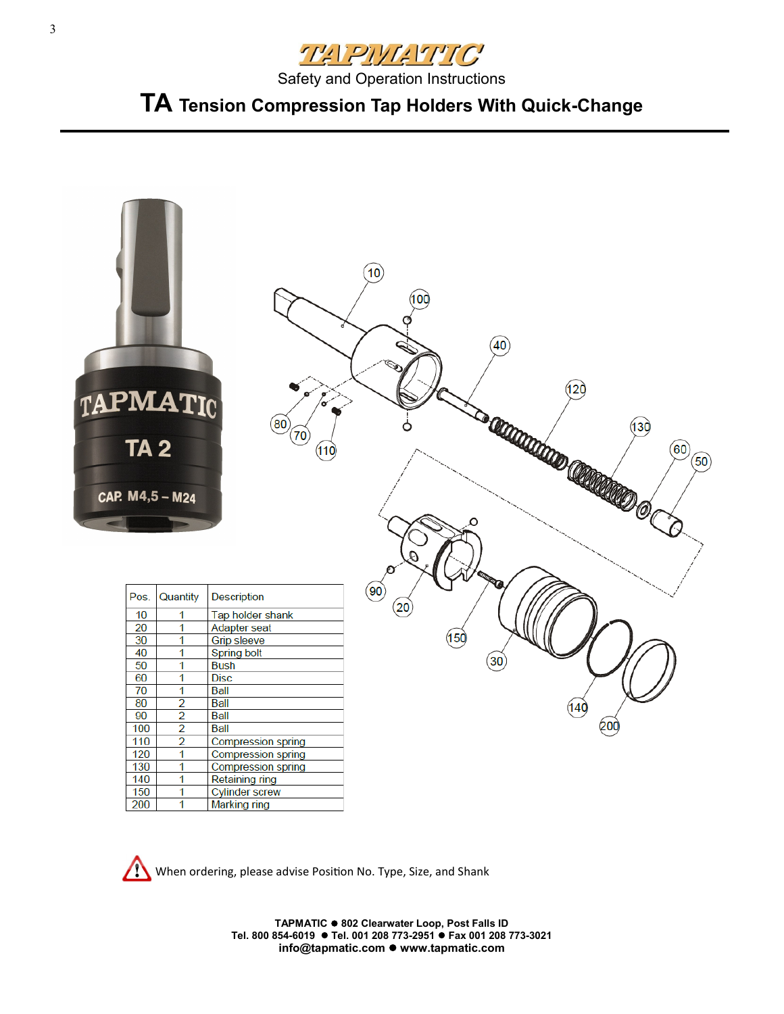

# **TA Tension Compression Tap Holders With Quick-Change**



When ordering, please advise Position No. Type, Size, and Shank

**TAPMATIC 802 Clearwater Loop, Post Falls ID Tel. 800 854-6019 Tel. 001 208 773-2951 Fax 001 208 773-3021 info@tapmatic.com www.tapmatic.com**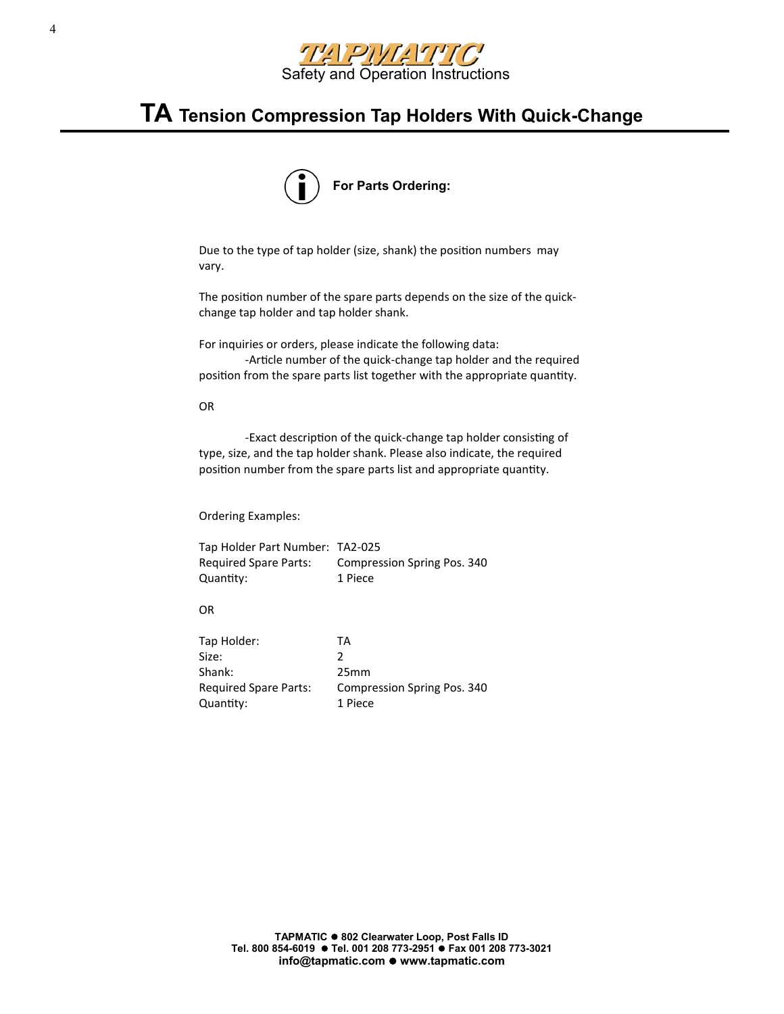

## **TA Tension Compression Tap Holders With Quick-Change**

![](_page_3_Figure_2.jpeg)

Due to the type of tap holder (size, shank) the position numbers may vary.

The position number of the spare parts depends on the size of the quickchange tap holder and tap holder shank.

For inquiries or orders, please indicate the following data: -Article number of the quick-change tap holder and the required position from the spare parts list together with the appropriate quantity.

#### OR

-Exact description of the quick-change tap holder consisting of type, size, and the tap holder shank. Please also indicate, the required position number from the spare parts list and appropriate quantity.

Ordering Examples:

Tap Holder Part Number: TA2-025 Required Spare Parts: Compression Spring Pos. 340 Quantity: 1 Piece

### OR

| Tap Holder:                  | TА                          |
|------------------------------|-----------------------------|
| Size:                        | 2                           |
| Shank:                       | 25 <sub>mm</sub>            |
| <b>Required Spare Parts:</b> | Compression Spring Pos. 340 |
| Quantity:                    | 1 Piece                     |